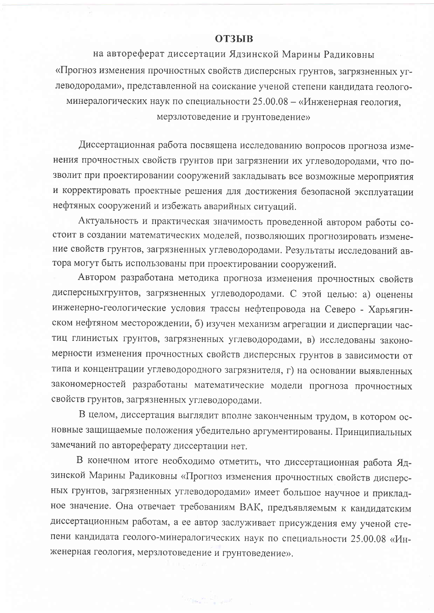## **ОТЗЫВ**

на автореферат диссертации Ядзинской Марины Радиковны «Прогноз изменения прочностных свойств дисперсных грунтов, загрязненных углеводородами», представленной на соискание ученой степени кандидата геологоминералогических наук по специальности 25.00.08 - «Инженерная геология, мерзлотоведение и грунтоведение»

Диссертационная работа посвящена исследованию вопросов прогноза изменения прочностных свойств грунтов при загрязнении их углеводородами, что позволит при проектировании сооружений закладывать все возможные мероприятия и корректировать проектные решения для достижения безопасной эксплуатации нефтяных сооружений и избежать аварийных ситуаций.

Актуальность и практическая значимость проведенной автором работы состоит в создании математических моделей, позволяющих прогнозировать изменение свойств грунтов, загрязненных углеводородами. Результаты исследований автора могут быть использованы при проектировании сооружений.

Автором разработана методика прогноза изменения прочностных свойств дисперсныхгрунтов, загрязненных углеводородами. С этой целью: а) оценены инженерно-геологические условия трассы нефтепровода на Северо - Харьягинском нефтяном месторождении, б) изучен механизм агрегации и диспергации частиц глинистых грунтов, загрязненных углеводородами, в) исследованы закономерности изменения прочностных свойств дисперсных грунтов в зависимости от типа и концентрации углеводородного загрязнителя, г) на основании выявленных закономерностей разработаны математические модели прогноза прочностных свойств грунтов, загрязненных углеводородами.

В целом, диссертация выглядит вполне законченным трудом, в котором основные защищаемые положения убедительно аргументированы. Принципиальных замечаний по автореферату диссертации нет.

В конечном итоге необходимо отметить, что диссертационная работа Ядзинской Марины Радиковны «Прогноз изменения прочностных свойств дисперсных грунтов, загрязненных углеводородами» имеет большое научное и прикладное значение. Она отвечает требованиям ВАК, предъявляемым к кандидатским диссертационным работам, а ее автор заслуживает присуждения ему ученой степени кандидата геолого-минералогических наук по специальности 25.00.08 «Инженерная геология, мерзлотоведение и грунтоведение».

العبير الكاري الأمريكية (1987)<br>العبير الكاري